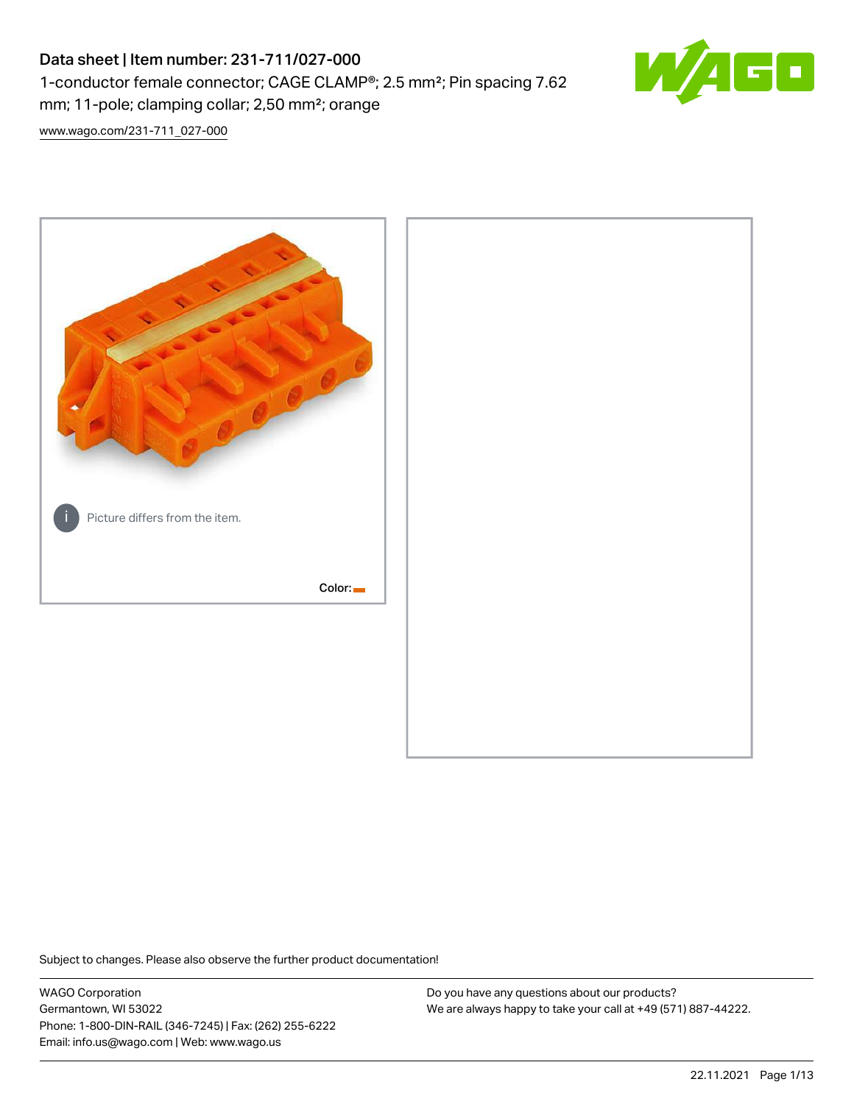# Data sheet | Item number: 231-711/027-000 1-conductor female connector; CAGE CLAMP®; 2.5 mm²; Pin spacing 7.62 mm; 11-pole; clamping collar; 2,50 mm²; orange



[www.wago.com/231-711\\_027-000](http://www.wago.com/231-711_027-000)



Subject to changes. Please also observe the further product documentation!

WAGO Corporation Germantown, WI 53022 Phone: 1-800-DIN-RAIL (346-7245) | Fax: (262) 255-6222 Email: info.us@wago.com | Web: www.wago.us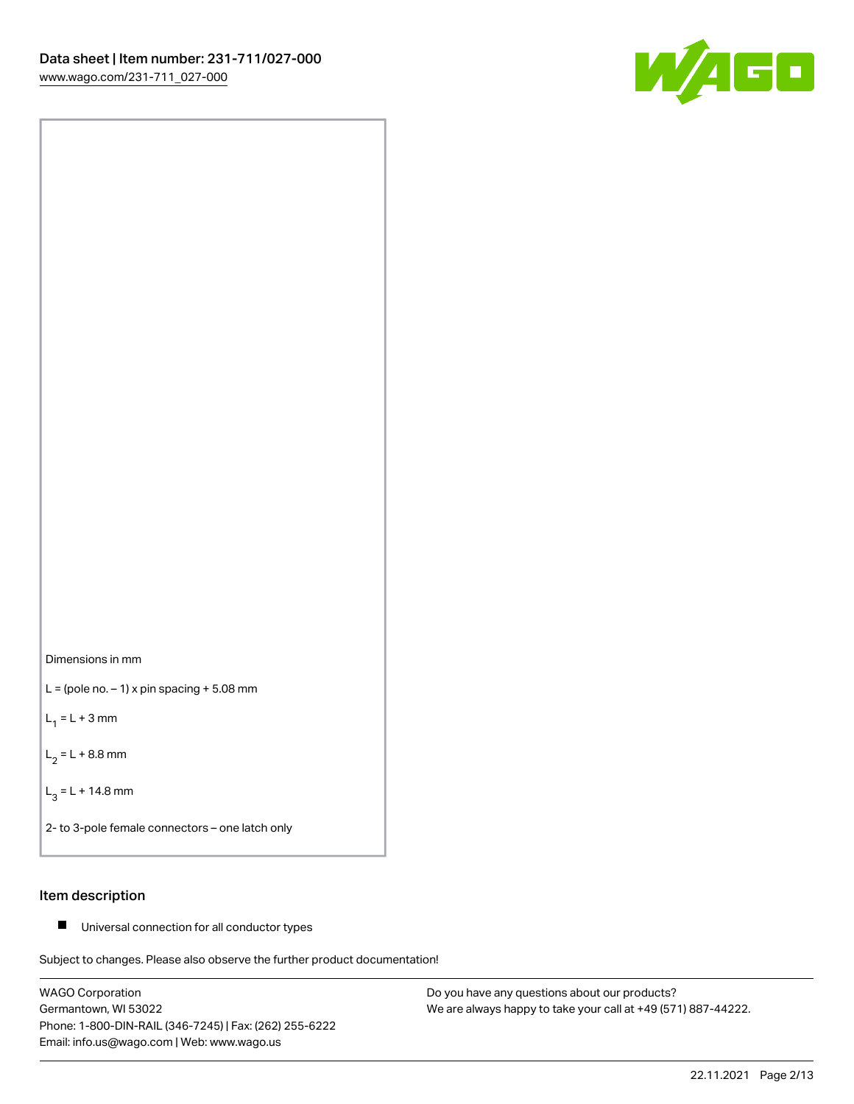



 $L =$  (pole no.  $-1$ ) x pin spacing  $+5.08$  mm

 $L_1 = L + 3$  mm

 $L_2 = L + 8.8$  mm

 $L_3 = L + 14.8$  mm

2- to 3-pole female connectors – one latch only

# Item description

■ Universal connection for all conductor types

Subject to changes. Please also observe the further product documentation!

WAGO Corporation Germantown, WI 53022 Phone: 1-800-DIN-RAIL (346-7245) | Fax: (262) 255-6222 Email: info.us@wago.com | Web: www.wago.us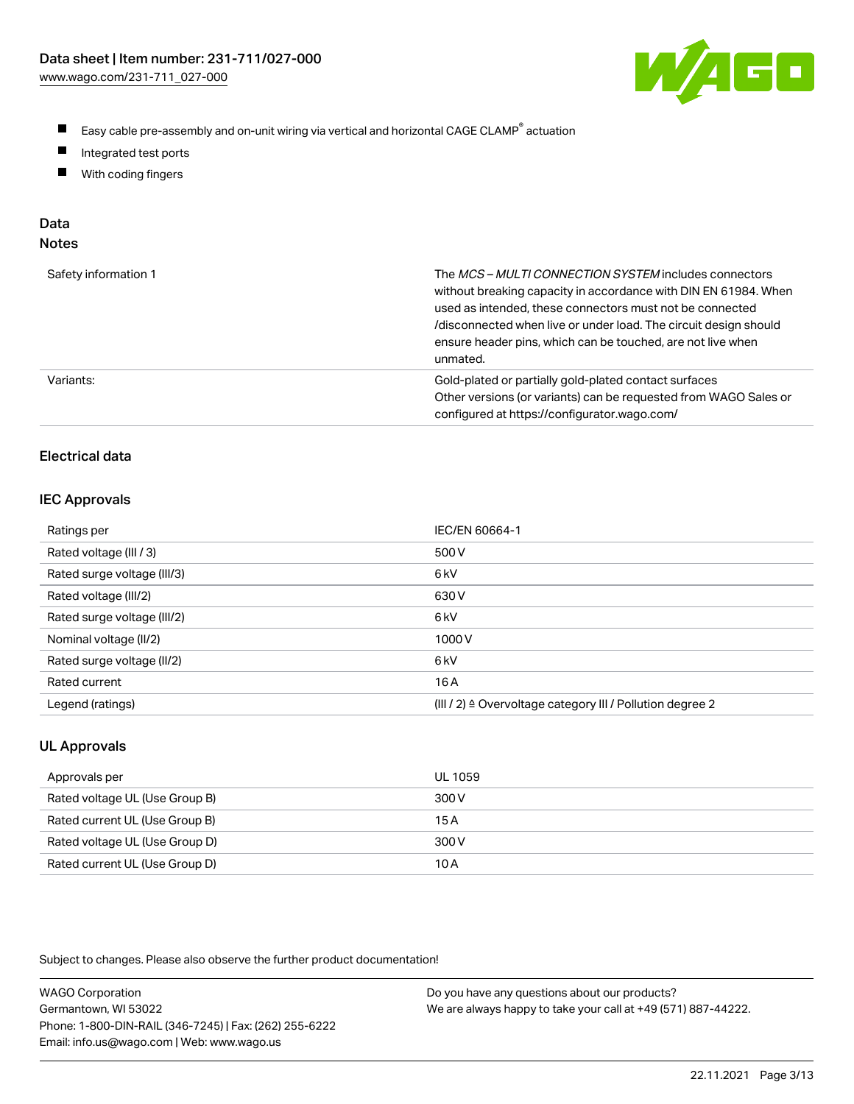

- $\blacksquare$ Easy cable pre-assembly and on-unit wiring via vertical and horizontal CAGE CLAMP<sup>®</sup> actuation
- $\blacksquare$ Integrated test ports
- $\blacksquare$ With coding fingers

# Data

| ×<br>× |
|--------|
|        |

| Safety information 1 | The MCS-MULTI CONNECTION SYSTEM includes connectors<br>without breaking capacity in accordance with DIN EN 61984. When<br>used as intended, these connectors must not be connected<br>/disconnected when live or under load. The circuit design should<br>ensure header pins, which can be touched, are not live when<br>unmated. |
|----------------------|-----------------------------------------------------------------------------------------------------------------------------------------------------------------------------------------------------------------------------------------------------------------------------------------------------------------------------------|
| Variants:            | Gold-plated or partially gold-plated contact surfaces<br>Other versions (or variants) can be requested from WAGO Sales or<br>configured at https://configurator.wago.com/                                                                                                                                                         |

# Electrical data

## IEC Approvals

| Ratings per                 | IEC/EN 60664-1                                                        |
|-----------------------------|-----------------------------------------------------------------------|
| Rated voltage (III / 3)     | 500 V                                                                 |
| Rated surge voltage (III/3) | 6 <sub>k</sub> V                                                      |
| Rated voltage (III/2)       | 630 V                                                                 |
| Rated surge voltage (III/2) | 6 <sub>k</sub> V                                                      |
| Nominal voltage (II/2)      | 1000V                                                                 |
| Rated surge voltage (II/2)  | 6 <sub>k</sub> V                                                      |
| Rated current               | 16 A                                                                  |
| Legend (ratings)            | $(III / 2)$ $\triangle$ Overvoltage category III / Pollution degree 2 |

# UL Approvals

| Approvals per                  | UL 1059 |
|--------------------------------|---------|
| Rated voltage UL (Use Group B) | 300 V   |
| Rated current UL (Use Group B) | 15A     |
| Rated voltage UL (Use Group D) | 300 V   |
| Rated current UL (Use Group D) | 10 A    |

Subject to changes. Please also observe the further product documentation!

| <b>WAGO Corporation</b>                                | Do you have any questions about our products?                 |
|--------------------------------------------------------|---------------------------------------------------------------|
| Germantown, WI 53022                                   | We are always happy to take your call at +49 (571) 887-44222. |
| Phone: 1-800-DIN-RAIL (346-7245)   Fax: (262) 255-6222 |                                                               |
| Email: info.us@wago.com   Web: www.wago.us             |                                                               |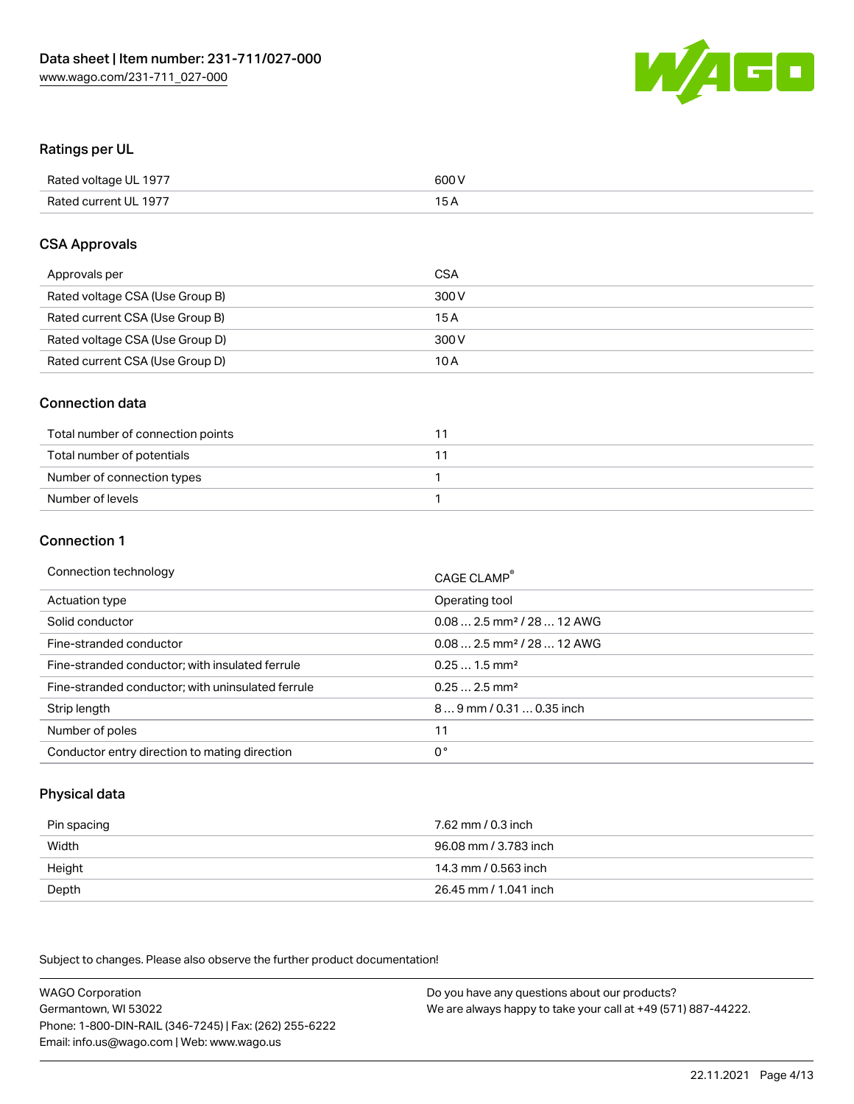

## Ratings per UL

| Rated voltage UL 1977 | 600 V |
|-----------------------|-------|
| Rated current UL 1977 | 1 E   |

## CSA Approvals

| Approvals per                   | CSA   |
|---------------------------------|-------|
| Rated voltage CSA (Use Group B) | 300 V |
| Rated current CSA (Use Group B) | 15 A  |
| Rated voltage CSA (Use Group D) | 300 V |
| Rated current CSA (Use Group D) | 10 A  |

## Connection data

| Total number of connection points |  |
|-----------------------------------|--|
| Total number of potentials        |  |
| Number of connection types        |  |
| Number of levels                  |  |

### Connection 1

| Connection technology                             | CAGE CLAMP <sup>®</sup>                |
|---------------------------------------------------|----------------------------------------|
| Actuation type                                    | Operating tool                         |
| Solid conductor                                   | $0.082.5$ mm <sup>2</sup> / 28  12 AWG |
| Fine-stranded conductor                           | $0.082.5$ mm <sup>2</sup> / 28  12 AWG |
| Fine-stranded conductor; with insulated ferrule   | $0.251.5$ mm <sup>2</sup>              |
| Fine-stranded conductor; with uninsulated ferrule | $0.252.5$ mm <sup>2</sup>              |
| Strip length                                      | 89 mm / 0.31  0.35 inch                |
| Number of poles                                   | 11                                     |
| Conductor entry direction to mating direction     | 0°                                     |

# Physical data

| Pin spacing | 7.62 mm / 0.3 inch    |
|-------------|-----------------------|
| Width       | 96.08 mm / 3.783 inch |
| Height      | 14.3 mm / 0.563 inch  |
| Depth       | 26.45 mm / 1.041 inch |

Subject to changes. Please also observe the further product documentation!

WAGO Corporation Germantown, WI 53022 Phone: 1-800-DIN-RAIL (346-7245) | Fax: (262) 255-6222 Email: info.us@wago.com | Web: www.wago.us Do you have any questions about our products? We are always happy to take your call at +49 (571) 887-44222.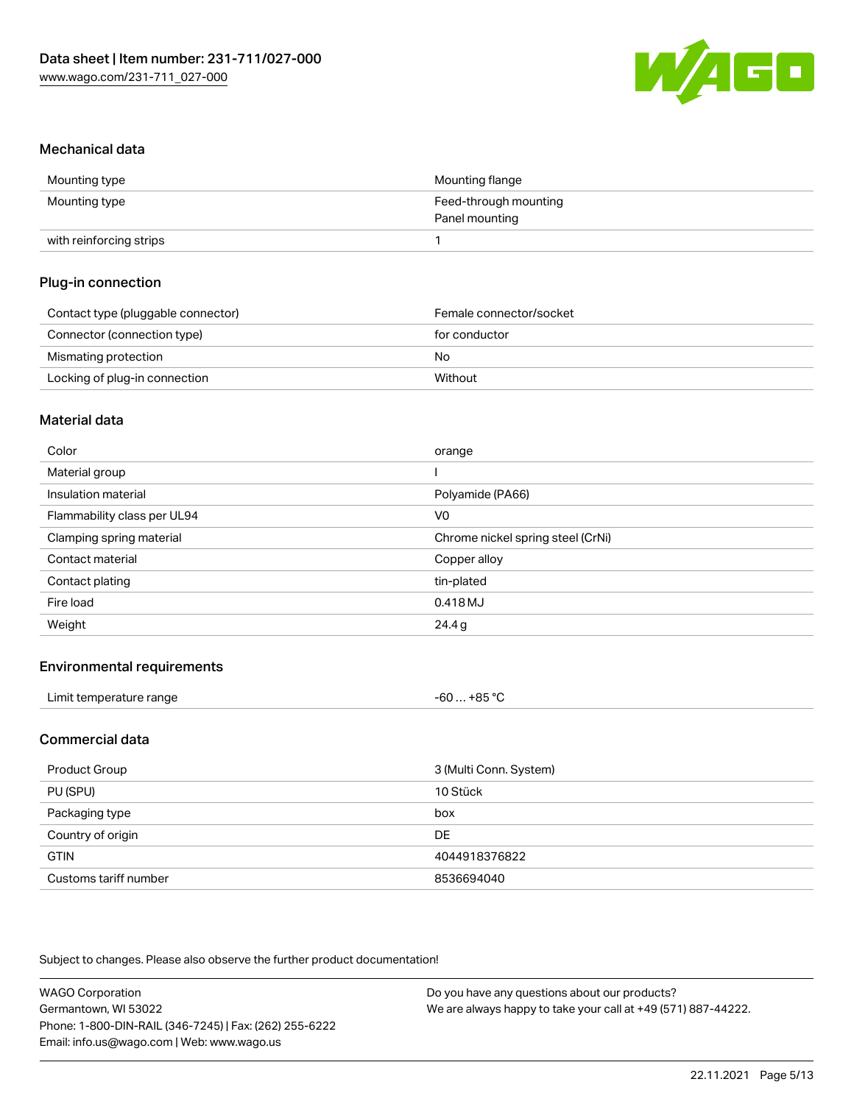

## Mechanical data

| Mounting type           | Mounting flange       |
|-------------------------|-----------------------|
| Mounting type           | Feed-through mounting |
|                         | Panel mounting        |
| with reinforcing strips |                       |

# Plug-in connection

| Contact type (pluggable connector) | Female connector/socket |
|------------------------------------|-------------------------|
| Connector (connection type)        | for conductor           |
| Mismating protection               | No                      |
| Locking of plug-in connection      | Without                 |

### Material data

| Color                       | orange                            |
|-----------------------------|-----------------------------------|
| Material group              |                                   |
| Insulation material         | Polyamide (PA66)                  |
| Flammability class per UL94 | V0                                |
| Clamping spring material    | Chrome nickel spring steel (CrNi) |
| Contact material            | Copper alloy                      |
| Contact plating             | tin-plated                        |
| Fire load                   | 0.418 MJ                          |
| Weight                      | 24.4g                             |

## Environmental requirements

| Limit temperature range | . +85 °ົ<br>-60 |  |
|-------------------------|-----------------|--|
|-------------------------|-----------------|--|

### Commercial data

| Product Group         | 3 (Multi Conn. System) |
|-----------------------|------------------------|
| PU (SPU)              | 10 Stück               |
| Packaging type        | box                    |
| Country of origin     | <b>DE</b>              |
| <b>GTIN</b>           | 4044918376822          |
| Customs tariff number | 8536694040             |

Subject to changes. Please also observe the further product documentation!

| <b>WAGO Corporation</b>                                | Do you have any questions about our products?                 |
|--------------------------------------------------------|---------------------------------------------------------------|
| Germantown, WI 53022                                   | We are always happy to take your call at +49 (571) 887-44222. |
| Phone: 1-800-DIN-RAIL (346-7245)   Fax: (262) 255-6222 |                                                               |
| Email: info.us@wago.com   Web: www.wago.us             |                                                               |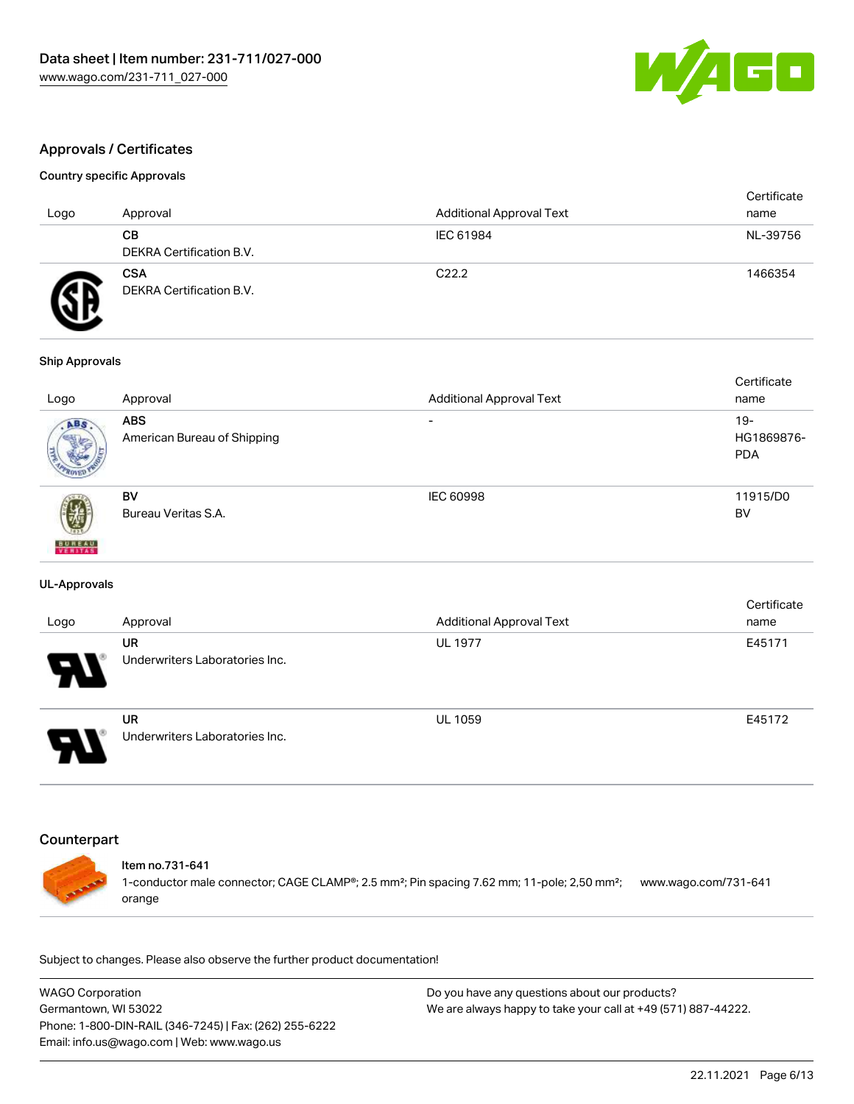

# Approvals / Certificates

#### Country specific Approvals

| Logo | Approval                               | <b>Additional Approval Text</b> | Certificate<br>name |
|------|----------------------------------------|---------------------------------|---------------------|
|      | CВ<br><b>DEKRA Certification B.V.</b>  | IEC 61984                       | NL-39756            |
|      | <b>CSA</b><br>DEKRA Certification B.V. | C <sub>22.2</sub>               | 1466354             |

#### Ship Approvals

| Logo               | Approval                                  | <b>Additional Approval Text</b> | Certificate<br>name                |
|--------------------|-------------------------------------------|---------------------------------|------------------------------------|
| ABS.               | <b>ABS</b><br>American Bureau of Shipping | $\overline{\phantom{0}}$        | $19 -$<br>HG1869876-<br><b>PDA</b> |
| 虁<br><b>BUREAU</b> | BV<br>Bureau Veritas S.A.                 | IEC 60998                       | 11915/D0<br><b>BV</b>              |

#### UL-Approvals

| Logo                       | Approval                                    | <b>Additional Approval Text</b> | Certificate<br>name |
|----------------------------|---------------------------------------------|---------------------------------|---------------------|
| $\boldsymbol{\mathcal{A}}$ | <b>UR</b><br>Underwriters Laboratories Inc. | <b>UL 1977</b>                  | E45171              |
| O                          | UR<br>Underwriters Laboratories Inc.        | <b>UL 1059</b>                  | E45172              |

#### Counterpart



## Item no.731-641

1-conductor male connector; CAGE CLAMP®; 2.5 mm²; Pin spacing 7.62 mm; 11-pole; 2,50 mm²; [www.wago.com/731-641](https://www.wago.com/731-641) orange

Subject to changes. Please also observe the further product documentation!

WAGO Corporation Germantown, WI 53022 Phone: 1-800-DIN-RAIL (346-7245) | Fax: (262) 255-6222 Email: info.us@wago.com | Web: www.wago.us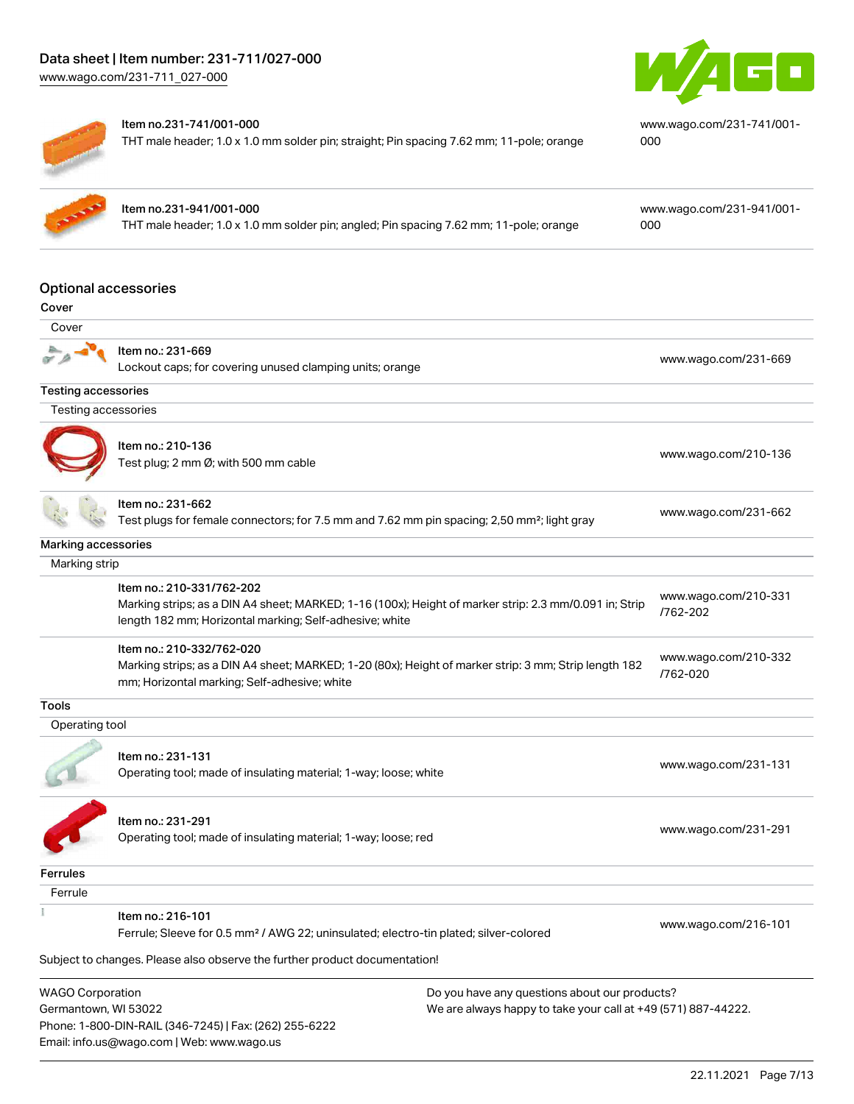[www.wago.com/231-711\\_027-000](http://www.wago.com/231-711_027-000)





#### Item no.231-741/001-000

Phone: 1-800-DIN-RAIL (346-7245) | Fax: (262) 255-6222

Email: info.us@wago.com | Web: www.wago.us

THT male header; 1.0 x 1.0 mm solder pin; straight; Pin spacing 7.62 mm; 11-pole; orange

[www.wago.com/231-741/001-](https://www.wago.com/231-741/001-000) [000](https://www.wago.com/231-741/001-000)

| Item no.231-941/ |
|------------------|
| THT male header: |

# $1001 - 000$

1.0 x 1.0 mm solder pin; angled; Pin spacing 7.62 mm; 11-pole; orange

[www.wago.com/231-941/001-](https://www.wago.com/231-941/001-000) [000](https://www.wago.com/231-941/001-000)

## Optional accessories

| ٦<br>۰.<br>×<br>v<br>×<br>۰.<br>M.<br>۰. |
|------------------------------------------|
|------------------------------------------|

| Cover                                                                                                                                                             |                                                                                                                                                                                                |  |                                  |
|-------------------------------------------------------------------------------------------------------------------------------------------------------------------|------------------------------------------------------------------------------------------------------------------------------------------------------------------------------------------------|--|----------------------------------|
|                                                                                                                                                                   | Item no.: 231-669<br>Lockout caps; for covering unused clamping units; orange                                                                                                                  |  | www.wago.com/231-669             |
| <b>Testing accessories</b>                                                                                                                                        |                                                                                                                                                                                                |  |                                  |
| Testing accessories                                                                                                                                               |                                                                                                                                                                                                |  |                                  |
|                                                                                                                                                                   | Item no.: 210-136<br>Test plug; 2 mm Ø; with 500 mm cable                                                                                                                                      |  | www.wago.com/210-136             |
|                                                                                                                                                                   | Item no.: 231-662<br>Test plugs for female connectors; for 7.5 mm and 7.62 mm pin spacing; 2,50 mm²; light gray                                                                                |  | www.wago.com/231-662             |
| Marking accessories                                                                                                                                               |                                                                                                                                                                                                |  |                                  |
| Marking strip                                                                                                                                                     |                                                                                                                                                                                                |  |                                  |
|                                                                                                                                                                   | Item no.: 210-331/762-202<br>Marking strips; as a DIN A4 sheet; MARKED; 1-16 (100x); Height of marker strip: 2.3 mm/0.091 in; Strip<br>length 182 mm; Horizontal marking; Self-adhesive; white |  | www.wago.com/210-331<br>/762-202 |
|                                                                                                                                                                   | Item no.: 210-332/762-020<br>Marking strips; as a DIN A4 sheet; MARKED; 1-20 (80x); Height of marker strip: 3 mm; Strip length 182<br>mm; Horizontal marking; Self-adhesive; white             |  | www.wago.com/210-332<br>/762-020 |
| <b>Tools</b>                                                                                                                                                      |                                                                                                                                                                                                |  |                                  |
| Operating tool                                                                                                                                                    |                                                                                                                                                                                                |  |                                  |
|                                                                                                                                                                   | Item no.: 231-131<br>Operating tool; made of insulating material; 1-way; loose; white                                                                                                          |  | www.wago.com/231-131             |
|                                                                                                                                                                   | Item no.: 231-291<br>Operating tool; made of insulating material; 1-way; loose; red                                                                                                            |  | www.wago.com/231-291             |
| <b>Ferrules</b>                                                                                                                                                   |                                                                                                                                                                                                |  |                                  |
| Ferrule                                                                                                                                                           |                                                                                                                                                                                                |  |                                  |
|                                                                                                                                                                   | Item no.: 216-101<br>Ferrule; Sleeve for 0.5 mm <sup>2</sup> / AWG 22; uninsulated; electro-tin plated; silver-colored                                                                         |  | www.wago.com/216-101             |
|                                                                                                                                                                   | Subject to changes. Please also observe the further product documentation!                                                                                                                     |  |                                  |
| <b>WAGO Corporation</b><br>Do you have any questions about our products?<br>We are always happy to take your call at +49 (571) 887-44222.<br>Germantown, WI 53022 |                                                                                                                                                                                                |  |                                  |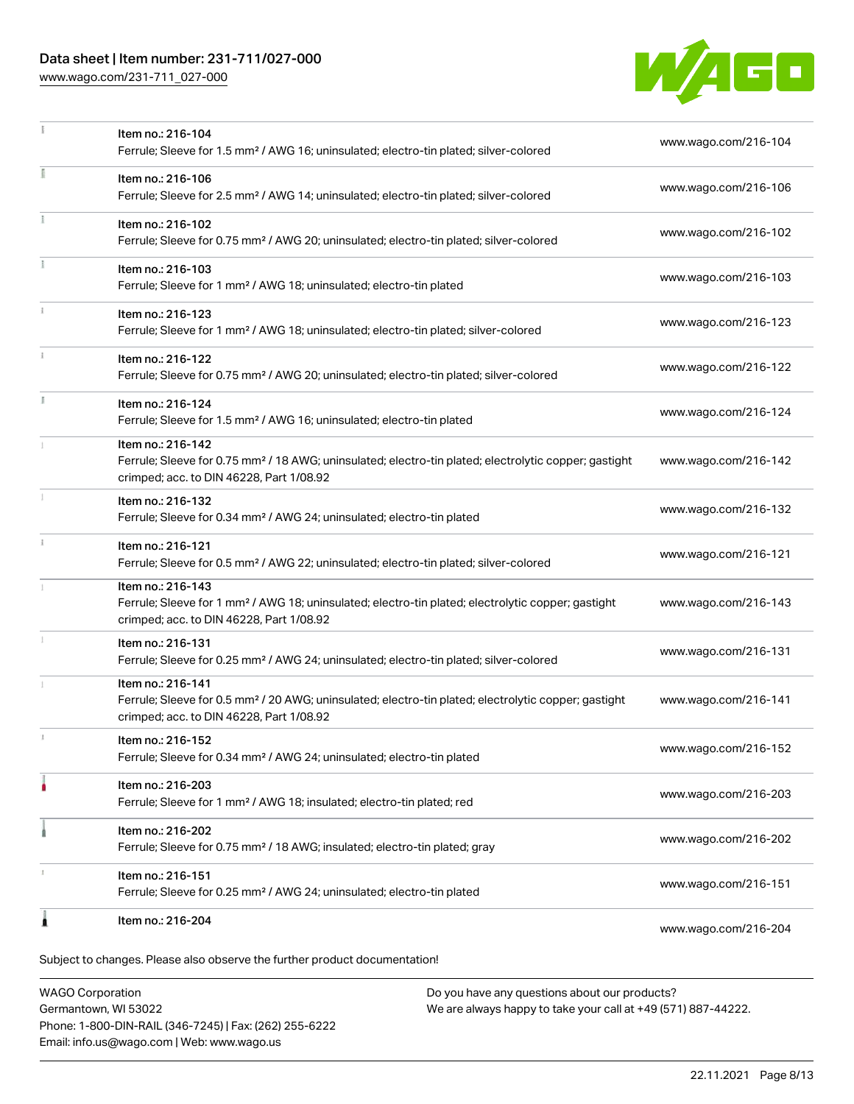# Data sheet | Item number: 231-711/027-000

[www.wago.com/231-711\\_027-000](http://www.wago.com/231-711_027-000)



| Ferrule; Sleeve for 0.34 mm <sup>2</sup> / AWG 24; uninsulated; electro-tin plated                                                                                                |                      |
|-----------------------------------------------------------------------------------------------------------------------------------------------------------------------------------|----------------------|
| Item no.: 216-121<br>Ferrule; Sleeve for 0.5 mm <sup>2</sup> / AWG 22; uninsulated; electro-tin plated; silver-colored                                                            | www.wago.com/216-121 |
| Item no.: 216-143                                                                                                                                                                 |                      |
| Ferrule; Sleeve for 1 mm <sup>2</sup> / AWG 18; uninsulated; electro-tin plated; electrolytic copper; gastight<br>crimped; acc. to DIN 46228, Part 1/08.92                        | www.wago.com/216-143 |
| Item no.: 216-131<br>Ferrule; Sleeve for 0.25 mm <sup>2</sup> / AWG 24; uninsulated; electro-tin plated; silver-colored                                                           | www.wago.com/216-131 |
| Item no.: 216-141<br>Ferrule; Sleeve for 0.5 mm <sup>2</sup> / 20 AWG; uninsulated; electro-tin plated; electrolytic copper; gastight<br>crimped; acc. to DIN 46228, Part 1/08.92 | www.wago.com/216-141 |
| Item no.: 216-152<br>Ferrule; Sleeve for 0.34 mm <sup>2</sup> / AWG 24; uninsulated; electro-tin plated                                                                           | www.wago.com/216-152 |
| Item no.: 216-203<br>Ferrule; Sleeve for 1 mm <sup>2</sup> / AWG 18; insulated; electro-tin plated; red                                                                           | www.wago.com/216-203 |
| Item no.: 216-202<br>Ferrule; Sleeve for 0.75 mm <sup>2</sup> / 18 AWG; insulated; electro-tin plated; gray                                                                       | www.wago.com/216-202 |
| Item no.: 216-151                                                                                                                                                                 | www.wago.com/216-151 |
| Ferrule; Sleeve for 0.25 mm <sup>2</sup> / AWG 24; uninsulated; electro-tin plated                                                                                                |                      |
| Item no.: 216-204                                                                                                                                                                 | www.wago.com/216-204 |

WAGO Corporation Germantown, WI 53022 Phone: 1-800-DIN-RAIL (346-7245) | Fax: (262) 255-6222 Email: info.us@wago.com | Web: www.wago.us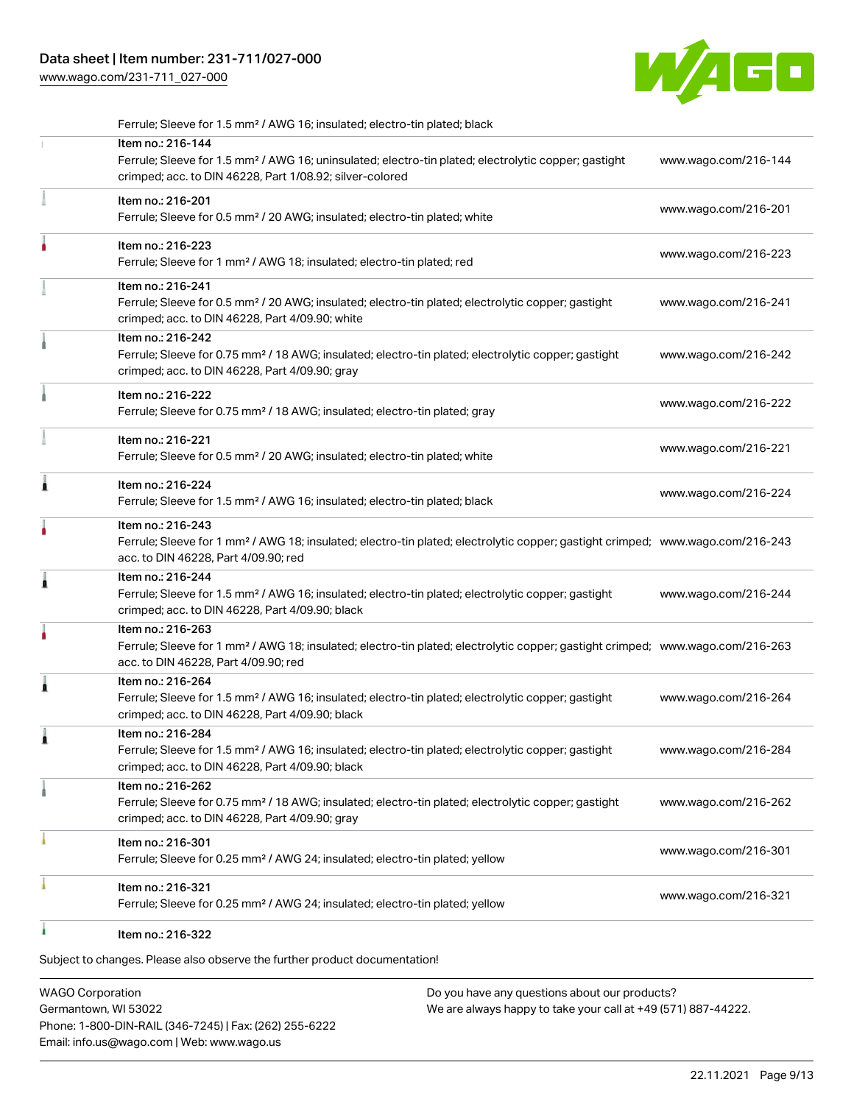# Data sheet | Item number: 231-711/027-000

[www.wago.com/231-711\\_027-000](http://www.wago.com/231-711_027-000)



|   | Ferrule; Sleeve for 1.5 mm <sup>2</sup> / AWG 16; insulated; electro-tin plated; black                                                                                                                  |                      |
|---|---------------------------------------------------------------------------------------------------------------------------------------------------------------------------------------------------------|----------------------|
|   | Item no.: 216-144<br>Ferrule; Sleeve for 1.5 mm <sup>2</sup> / AWG 16; uninsulated; electro-tin plated; electrolytic copper; gastight<br>crimped; acc. to DIN 46228, Part 1/08.92; silver-colored       | www.wago.com/216-144 |
|   | Item no.: 216-201<br>Ferrule; Sleeve for 0.5 mm <sup>2</sup> / 20 AWG; insulated; electro-tin plated; white                                                                                             | www.wago.com/216-201 |
|   | Item no.: 216-223<br>Ferrule; Sleeve for 1 mm <sup>2</sup> / AWG 18; insulated; electro-tin plated; red                                                                                                 | www.wago.com/216-223 |
|   | Item no.: 216-241<br>Ferrule; Sleeve for 0.5 mm <sup>2</sup> / 20 AWG; insulated; electro-tin plated; electrolytic copper; gastight<br>crimped; acc. to DIN 46228, Part 4/09.90; white                  | www.wago.com/216-241 |
|   | Item no.: 216-242<br>Ferrule; Sleeve for 0.75 mm <sup>2</sup> / 18 AWG; insulated; electro-tin plated; electrolytic copper; gastight<br>crimped; acc. to DIN 46228, Part 4/09.90; gray                  | www.wago.com/216-242 |
|   | Item no.: 216-222<br>Ferrule; Sleeve for 0.75 mm <sup>2</sup> / 18 AWG; insulated; electro-tin plated; gray                                                                                             | www.wago.com/216-222 |
|   | Item no.: 216-221<br>Ferrule; Sleeve for 0.5 mm <sup>2</sup> / 20 AWG; insulated; electro-tin plated; white                                                                                             | www.wago.com/216-221 |
| Â | Item no.: 216-224<br>Ferrule; Sleeve for 1.5 mm <sup>2</sup> / AWG 16; insulated; electro-tin plated; black                                                                                             | www.wago.com/216-224 |
|   | Item no.: 216-243<br>Ferrule; Sleeve for 1 mm <sup>2</sup> / AWG 18; insulated; electro-tin plated; electrolytic copper; gastight crimped; www.wago.com/216-243<br>acc. to DIN 46228, Part 4/09.90; red |                      |
| ì | Item no.: 216-244<br>Ferrule; Sleeve for 1.5 mm <sup>2</sup> / AWG 16; insulated; electro-tin plated; electrolytic copper; gastight<br>crimped; acc. to DIN 46228, Part 4/09.90; black                  | www.wago.com/216-244 |
|   | Item no.: 216-263<br>Ferrule; Sleeve for 1 mm <sup>2</sup> / AWG 18; insulated; electro-tin plated; electrolytic copper; gastight crimped; www.wago.com/216-263<br>acc. to DIN 46228, Part 4/09.90; red |                      |
| 1 | Item no.: 216-264<br>Ferrule; Sleeve for 1.5 mm <sup>2</sup> / AWG 16; insulated; electro-tin plated; electrolytic copper; gastight<br>crimped; acc. to DIN 46228, Part 4/09.90; black                  | www.wago.com/216-264 |
|   | Item no.: 216-284<br>Ferrule; Sleeve for 1.5 mm <sup>2</sup> / AWG 16; insulated; electro-tin plated; electrolytic copper; gastight<br>crimped; acc. to DIN 46228, Part 4/09.90; black                  | www.wago.com/216-284 |
|   | Item no.: 216-262<br>Ferrule; Sleeve for 0.75 mm <sup>2</sup> / 18 AWG; insulated; electro-tin plated; electrolytic copper; gastight<br>crimped; acc. to DIN 46228, Part 4/09.90; gray                  | www.wago.com/216-262 |
|   | Item no.: 216-301<br>Ferrule; Sleeve for 0.25 mm <sup>2</sup> / AWG 24; insulated; electro-tin plated; yellow                                                                                           | www.wago.com/216-301 |
|   | Item no.: 216-321<br>Ferrule; Sleeve for 0.25 mm <sup>2</sup> / AWG 24; insulated; electro-tin plated; yellow                                                                                           | www.wago.com/216-321 |
|   | Item no.: 216-322                                                                                                                                                                                       |                      |

Subject to changes. Please also observe the further product documentation!

WAGO Corporation Germantown, WI 53022 Phone: 1-800-DIN-RAIL (346-7245) | Fax: (262) 255-6222 Email: info.us@wago.com | Web: www.wago.us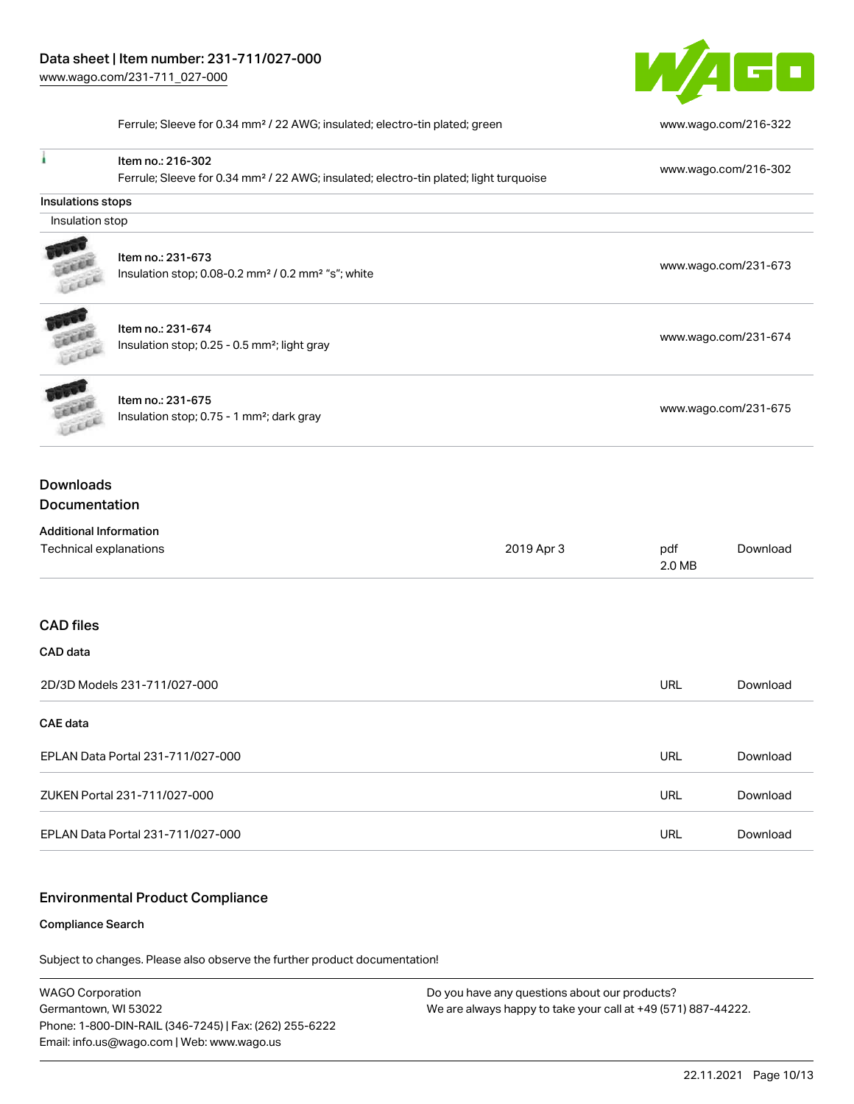

Ferrule; Sleeve for 0.34 mm² / 22 AWG; insulated; electro-tin plated; green [www.wago.com/216-322](http://www.wago.com/216-322)

| I                                    | Item no.: 216-302                                                                                 |            |                      | www.wago.com/216-302 |  |
|--------------------------------------|---------------------------------------------------------------------------------------------------|------------|----------------------|----------------------|--|
|                                      | Ferrule; Sleeve for 0.34 mm <sup>2</sup> / 22 AWG; insulated; electro-tin plated; light turquoise |            |                      |                      |  |
| <b>Insulations stops</b>             |                                                                                                   |            |                      |                      |  |
| Insulation stop                      |                                                                                                   |            |                      |                      |  |
|                                      |                                                                                                   |            |                      |                      |  |
|                                      | Item no.: 231-673                                                                                 |            | www.wago.com/231-673 |                      |  |
| Lecce                                | Insulation stop; 0.08-0.2 mm <sup>2</sup> / 0.2 mm <sup>2</sup> "s"; white                        |            |                      |                      |  |
| <b>BERT</b>                          | Item no.: 231-674                                                                                 |            |                      |                      |  |
|                                      | Insulation stop; 0.25 - 0.5 mm <sup>2</sup> ; light gray                                          |            | www.wago.com/231-674 |                      |  |
| Lecce                                |                                                                                                   |            |                      |                      |  |
|                                      | Item no.: 231-675                                                                                 |            |                      |                      |  |
|                                      | Insulation stop; 0.75 - 1 mm <sup>2</sup> ; dark gray                                             |            | www.wago.com/231-675 |                      |  |
| <b>Downloads</b><br>Documentation    |                                                                                                   |            |                      |                      |  |
| <b>Additional Information</b>        |                                                                                                   |            |                      |                      |  |
| Technical explanations<br>2019 Apr 3 |                                                                                                   |            | pdf<br>2.0 MB        | Download             |  |
|                                      |                                                                                                   |            |                      |                      |  |
| <b>CAD files</b>                     |                                                                                                   |            |                      |                      |  |
| CAD data                             |                                                                                                   |            |                      |                      |  |
| 2D/3D Models 231-711/027-000         |                                                                                                   | <b>URL</b> | Download             |                      |  |
| <b>CAE</b> data                      |                                                                                                   |            |                      |                      |  |
| EPLAN Data Portal 231-711/027-000    |                                                                                                   | <b>URL</b> | Download             |                      |  |
| ZUKEN Portal 231-711/027-000         |                                                                                                   | <b>URL</b> | Download             |                      |  |
| EPLAN Data Portal 231-711/027-000    |                                                                                                   | <b>URL</b> | Download             |                      |  |
|                                      |                                                                                                   |            |                      |                      |  |

## Environmental Product Compliance

#### Compliance Search

Subject to changes. Please also observe the further product documentation!

WAGO Corporation Germantown, WI 53022 Phone: 1-800-DIN-RAIL (346-7245) | Fax: (262) 255-6222 Email: info.us@wago.com | Web: www.wago.us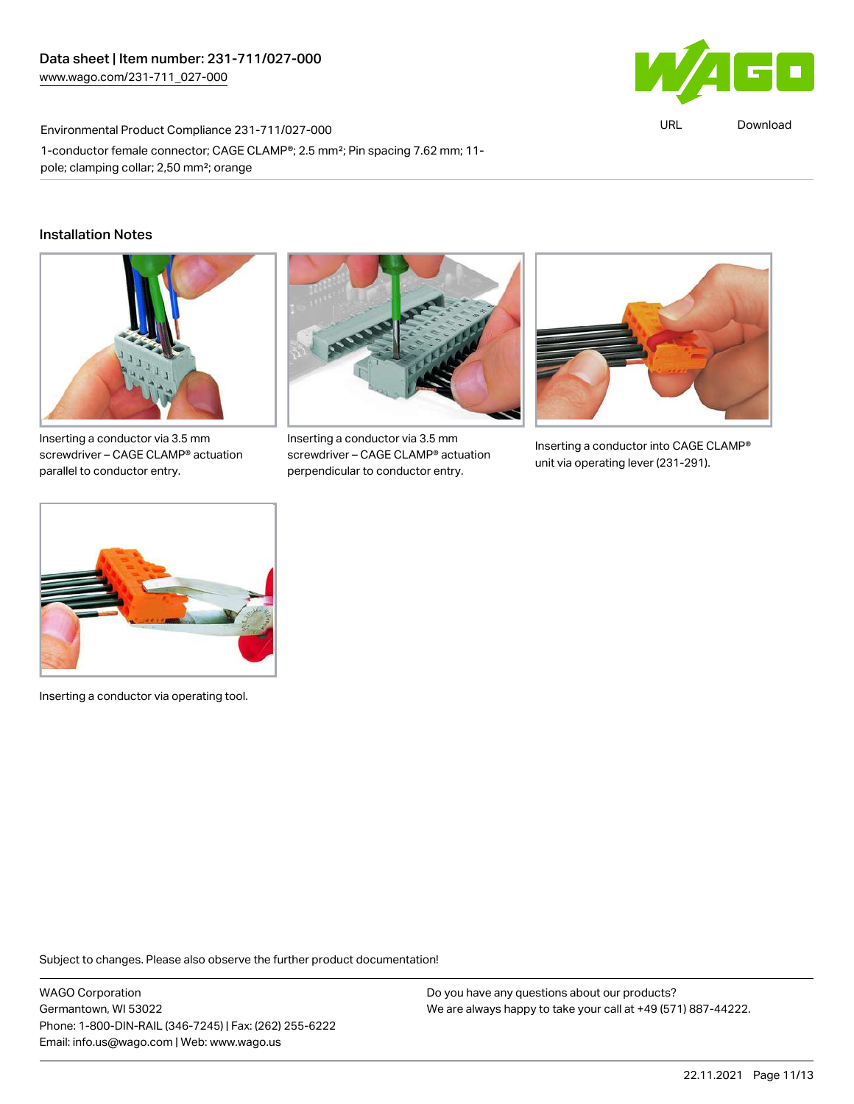

URL [Download](https://www.wago.com/global/d/ComplianceLinkMediaContainer_231-711_027-000)

# Environmental Product Compliance 231-711/027-000 1-conductor female connector; CAGE CLAMP®; 2.5 mm²; Pin spacing 7.62 mm; 11 pole; clamping collar; 2,50 mm²; orange

## Installation Notes



Inserting a conductor via 3.5 mm screwdriver – CAGE CLAMP® actuation parallel to conductor entry.



Inserting a conductor via 3.5 mm screwdriver – CAGE CLAMP® actuation perpendicular to conductor entry.



Inserting a conductor into CAGE CLAMP® unit via operating lever (231-291).



Inserting a conductor via operating tool.

Subject to changes. Please also observe the further product documentation!

WAGO Corporation Germantown, WI 53022 Phone: 1-800-DIN-RAIL (346-7245) | Fax: (262) 255-6222 Email: info.us@wago.com | Web: www.wago.us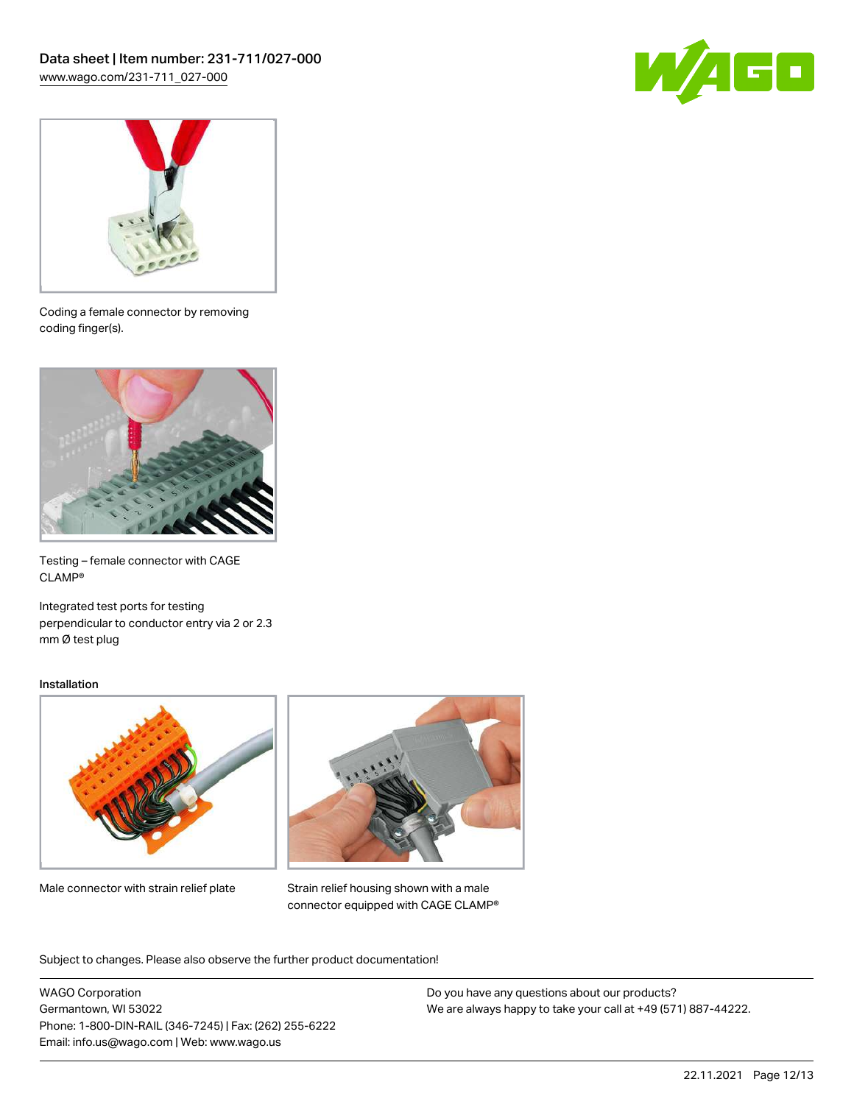



Coding a female connector by removing coding finger(s).



Testing – female connector with CAGE CLAMP®

Integrated test ports for testing perpendicular to conductor entry via 2 or 2.3 mm Ø test plug

### Installation



Male connector with strain relief plate



Strain relief housing shown with a male connector equipped with CAGE CLAMP®

Subject to changes. Please also observe the further product documentation!

WAGO Corporation Germantown, WI 53022 Phone: 1-800-DIN-RAIL (346-7245) | Fax: (262) 255-6222 Email: info.us@wago.com | Web: www.wago.us